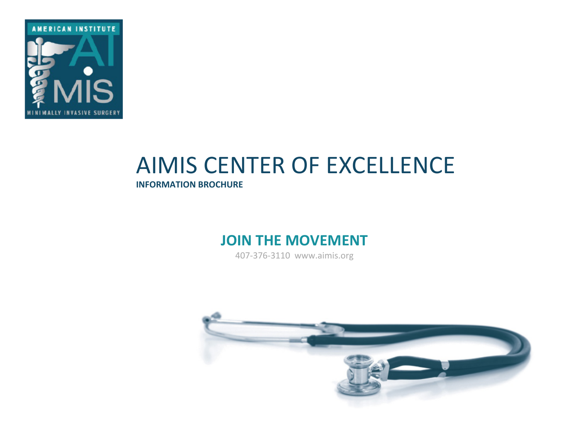

# **AIMIS CENTER OF EXCELLENCE**

**INFORMATION BROCHURE** 

### **JOIN THE MOVEMENT**

407-376-3110 www.aimis.org

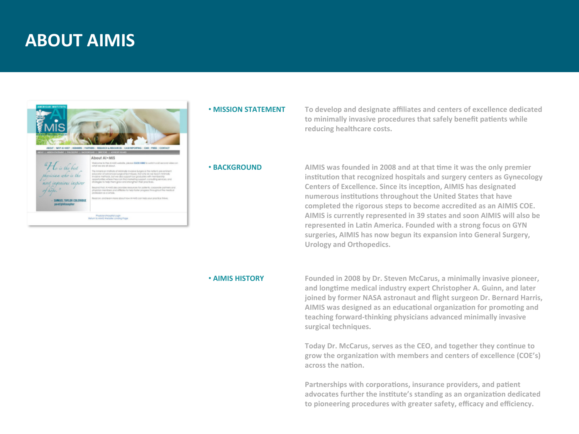### **ABOUT AIMIS**



#### • **MISSION STATEMENT**

To develop and designate affiliates and centers of excellence dedicated to minimally invasive procedures that safely benefit patients while reducing healthcare costs.

• **BACKGROUND** 

AIMIS was founded in 2008 and at that time it was the only premier institution that recognized hospitals and surgery centers as Gynecology **Centers of Excellence. Since its inception, AIMIS has designated** numerous institutions throughout the United States that have completed the rigorous steps to become accredited as an AIMIS COE. AIMIS is currently represented in 39 states and soon AIMIS will also be represented in Latin America. Founded with a strong focus on GYN surgeries, AIMIS has now begun its expansion into General Surgery, **Urology and Orthopedics.**

#### **• AIMIS HISTORY**

Founded in 2008 by Dr. Steven McCarus, a minimally invasive pioneer, and longtime medical industry expert Christopher A. Guinn, and later joined by former NASA astronaut and flight surgeon Dr. Bernard Harris, AIMIS was designed as an educational organization for promoting and teaching forward-thinking physicians advanced minimally invasive surgical techniques.

Today Dr. McCarus, serves as the CEO, and together they continue to grow the organization with members and centers of excellence (COE's) across the nation.

Partnerships with corporations, insurance providers, and patient advocates further the institute's standing as an organization dedicated to pioneering procedures with greater safety, efficacy and efficiency.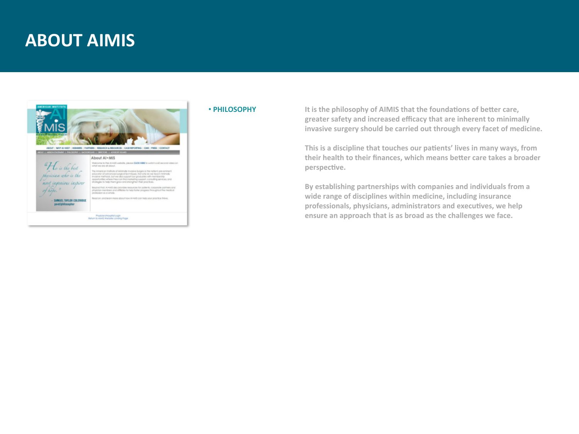### **ABOUT AIMIS**



#### • **PHILOSOPHY**

It is the philosophy of AIMIS that the foundations of better care, greater safety and increased efficacy that are inherent to minimally invasive surgery should be carried out through every facet of medicine.

This is a discipline that touches our patients' lives in many ways, from their health to their finances, which means better care takes a broader perspective.

By establishing partnerships with companies and individuals from a wide range of disciplines within medicine, including insurance professionals, physicians, administrators and executives, we help ensure an approach that is as broad as the challenges we face.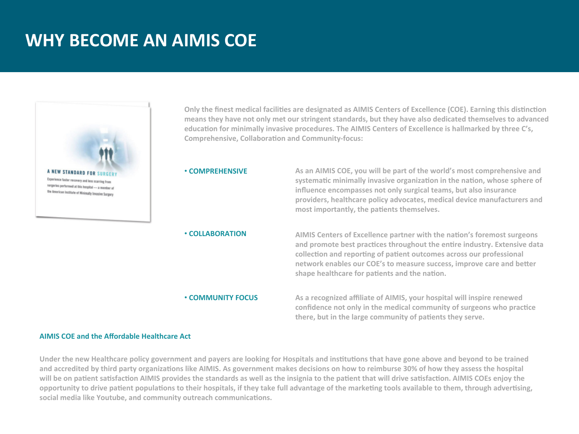## **WHY BECOME AN AIMIS COE**



**Only the finest medical facilities are designated as AIMIS Centers of Excellence (COE). Earning this distinction** means they have not only met our stringent standards, but they have also dedicated themselves to advanced education for minimally invasive procedures. The AIMIS Centers of Excellence is hallmarked by three C's, **Comprehensive, Collaboration and Community-focus:** 

#### • **COMPREHENSIVE**

• **COLLABORATION** 

As an AIMIS COE, you will be part of the world's most comprehensive and systematic minimally invasive organization in the nation, whose sphere of **influence encompasses not only surgical teams, but also insurance** providers, healthcare policy advocates, medical device manufacturers and most importantly, the patients themselves.

AIMIS Centers of Excellence partner with the nation's foremost surgeons and promote best practices throughout the entire industry. Extensive data collection and reporting of patient outcomes across our professional network enables our COE's to measure success, improve care and better shape healthcare for patients and the nation.

#### • **COMMUNITY FOCUS**

As a recognized affiliate of AIMIS, your hospital will inspire renewed confidence not only in the medical community of surgeons who practice there, but in the large community of patients they serve.

#### **AIMIS COE and the Affordable Healthcare Act**

Under the new Healthcare policy government and payers are looking for Hospitals and institutions that have gone above and beyond to be trained and accredited by third party organizations like AIMIS. As government makes decisions on how to reimburse 30% of how they assess the hospital will be on patient satisfaction AIMIS provides the standards as well as the insignia to the patient that will drive satisfaction. AIMIS COEs enjoy the opportunity to drive patient populations to their hospitals, if they take full advantage of the marketing tools available to them, through advertising, social media like Youtube, and community outreach communications.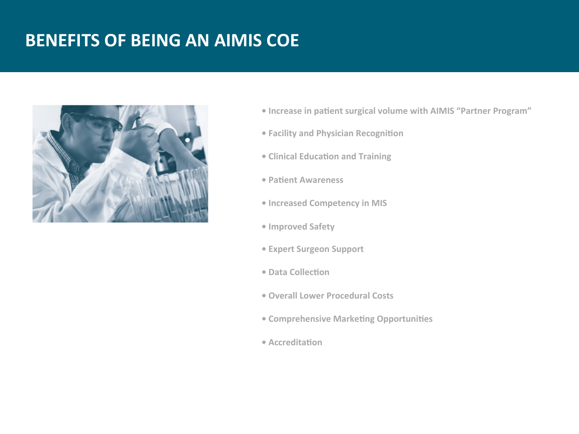## **BENEFITS OF BEING AN AIMIS COE**



- Increase in patient surgical volume with AIMIS "Partner Program"
- **Facility and Physician Recognition**
- **Clinical Education and Training**
- **Patient Awareness**
- **Increased Competency in MIS**
- **Improved Safety**
- **• Expert Surgeon Support**
- **Data Collection**
- **Overall Lower Procedural Costs**
- **Comprehensive Marketing Opportunities**
- **•** Accreditation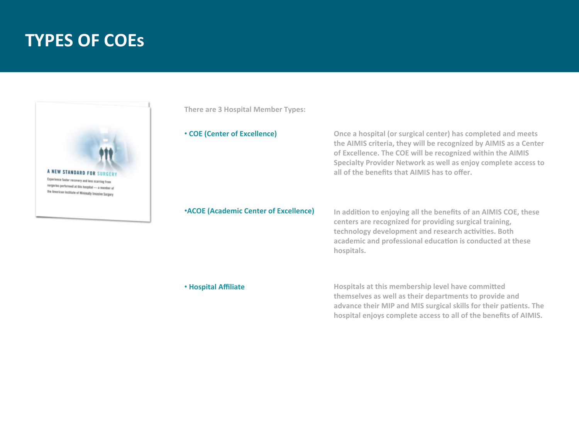### **TYPES OF COES**



**There are 3 Hospital Member Types:** 

• **COE (Center of Excellence)** 

**Once a hospital (or surgical center) has completed and meets** the AIMIS criteria, they will be recognized by AIMIS as a Center of Excellence. The COE will be recognized within the AIMIS **Specialty Provider Network as well as enjoy complete access to** all of the benefits that AIMIS has to offer.

#### **•ACOE** (Academic Center of Excellence)

In addition to enjoying all the benefits of an AIMIS COE, these centers are recognized for providing surgical training, technology development and research activities. Both academic and professional education is conducted at these **hospitals.**

#### • **Hospital Affiliate**

Hospitals at this membership level have committed themselves as well as their departments to provide and advance their MIP and MIS surgical skills for their patients. The hospital enjoys complete access to all of the benefits of AIMIS.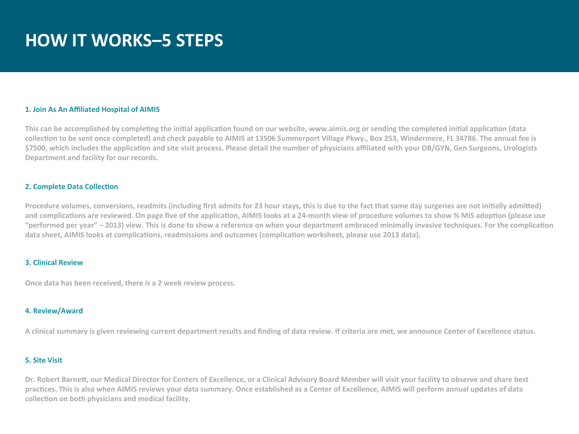## **HOW IT WORKS-5 STEPS**

#### **1. Join As An Affiliated Hospital of AIMIS**

This can be accomplished by completing the initial application found on our website, www.aimis.org or sending the completed initial application (data collection to be sent once completed) and check payable to AIMIS at 13506 Summerport Village Pkwy., Box 253, Windermere, FL 34786. The annual fee is \$7500, which includes the application and site visit process. Please detail the number of physicians affiliated with your OB/GYN, Gen Surgeons, Urologists Department and facility for our records.

#### **2. Complete Data Collection**

Procedure volumes, conversions, readmits (including first admits for 23 hour stays, this is due to the fact that same day surgeries are not initially admitted) and complications are reviewed. On page five of the application, AIMIS looks at a 24-month view of procedure volumes to show % MIS adoption (please use "performed per year" - 2013) view. This is done to show a reference on when your department embraced minimally invasive techniques. For the complication data sheet, AIMIS looks at complications, readmissions and outcomes (complication worksheet, please use 2013 data).

#### **3. Clinical Review**

**Once data has been received, there is a 2 week review process.** 

#### **4. Review/Award**

A clinical summary is given reviewing current department results and finding of data review. If criteria are met, we announce Center of Excellence status.

#### **5. Site Visit**

Dr. Robert Barnett, our Medical Director for Centers of Excellence, or a Clinical Advisory Board Member will visit your facility to observe and share best practices. This is also when AIMIS reviews your data summary. Once established as a Center of Excellence, AIMIS will perform annual updates of data collection on both physicians and medical facility.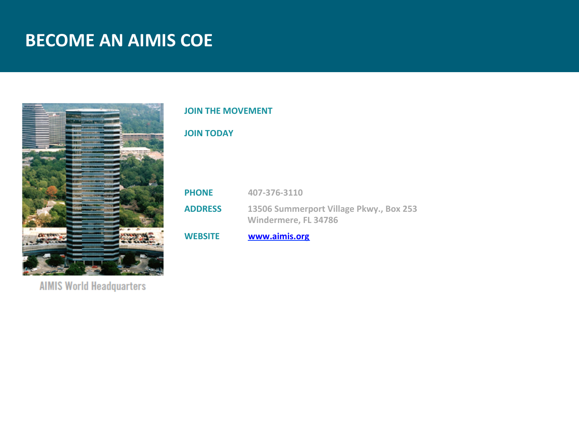## **BECOME AN AIMIS COE**



**AIMIS World Headquarters** 

#### **JOIN THE MOVEMENT**

#### **JOIN TODAY**

| <b>PHONE</b>   | 407-376-3110                                                    |
|----------------|-----------------------------------------------------------------|
| <b>ADDRESS</b> | 13506 Summerport Village Pkwy., Box 253<br>Windermere, FL 34786 |

WEBSITE **WWW.aimis.org**